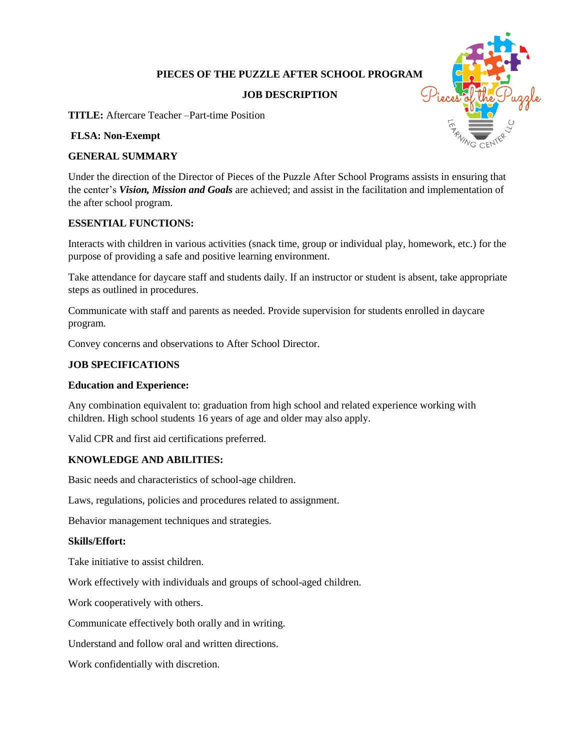# **PIECES OF THE PUZZLE AFTER SCHOOL PROGRAM**

## **JOB DESCRIPTION**



**TITLE:** Aftercare Teacher –Part-time Position

#### **FLSA: Non-Exempt**

## **GENERAL SUMMARY**

Under the direction of the Director of Pieces of the Puzzle After School Programs assists in ensuring that the center's *Vision, Mission and Goals* are achieved; and assist in the facilitation and implementation of the after school program.

#### **ESSENTIAL FUNCTIONS:**

Interacts with children in various activities (snack time, group or individual play, homework, etc.) for the purpose of providing a safe and positive learning environment.

Take attendance for daycare staff and students daily. If an instructor or student is absent, take appropriate steps as outlined in procedures.

Communicate with staff and parents as needed. Provide supervision for students enrolled in daycare program.

Convey concerns and observations to After School Director.

## **JOB SPECIFICATIONS**

### **Education and Experience:**

Any combination equivalent to: graduation from high school and related experience working with children. High school students 16 years of age and older may also apply.

Valid CPR and first aid certifications preferred.

### **KNOWLEDGE AND ABILITIES:**

Basic needs and characteristics of school-age children.

Laws, regulations, policies and procedures related to assignment.

Behavior management techniques and strategies.

### **Skills/Effort:**

Take initiative to assist children.

Work effectively with individuals and groups of school-aged children.

Work cooperatively with others.

Communicate effectively both orally and in writing.

Understand and follow oral and written directions.

Work confidentially with discretion.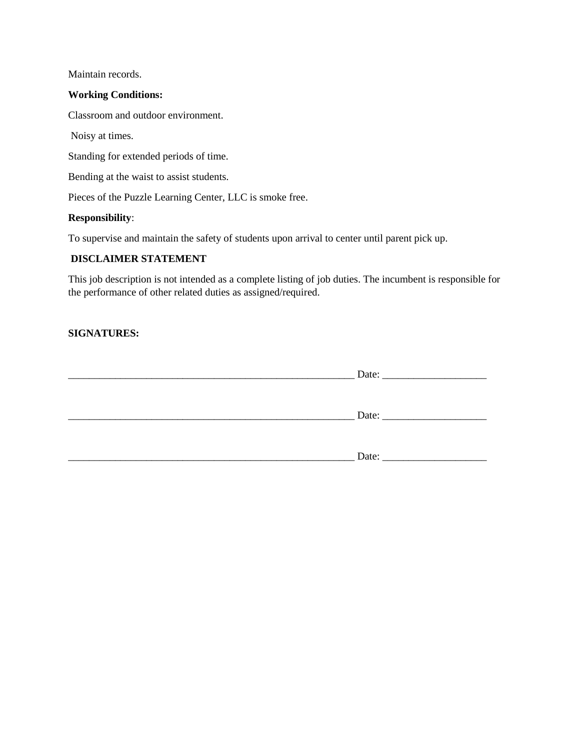Maintain records.

### **Working Conditions:**

Classroom and outdoor environment.

Noisy at times.

Standing for extended periods of time.

Bending at the waist to assist students.

Pieces of the Puzzle Learning Center, LLC is smoke free.

#### **Responsibility**:

To supervise and maintain the safety of students upon arrival to center until parent pick up.

## **DISCLAIMER STATEMENT**

This job description is not intended as a complete listing of job duties. The incumbent is responsible for the performance of other related duties as assigned/required.

# **SIGNATURES:**

| Date: |
|-------|
|       |
| Date: |